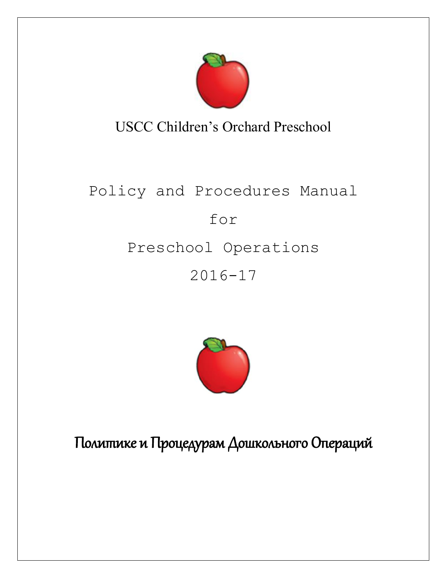

USCC Children's Orchard Preschool

# Policy and Procedures Manual for Preschool Operations 2016-17



Политике и Процедурам Дошкольного Операций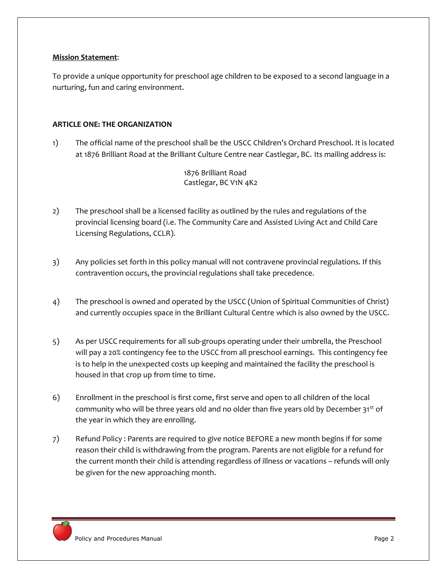#### **Mission Statement**:

To provide a unique opportunity for preschool age children to be exposed to a second language in a nurturing, fun and caring environment.

## **ARTICLE ONE: THE ORGANIZATION**

1) The official name of the preschool shall be the USCC Children's Orchard Preschool. It is located at 1876 Brilliant Road at the Brilliant Culture Centre near Castlegar, BC. Its mailing address is:

> 1876 Brilliant Road Castlegar, BC V1N 4K2

- 2) The preschool shall be a licensed facility as outlined by the rules and regulations of the provincial licensing board (i.e. The Community Care and Assisted Living Act and Child Care Licensing Regulations, CCLR).
- 3) Any policies set forth in this policy manual will not contravene provincial regulations. If this contravention occurs, the provincial regulations shall take precedence.
- 4) The preschool is owned and operated by the USCC (Union of Spiritual Communities of Christ) and currently occupies space in the Brilliant Cultural Centre which is also owned by the USCC.
- 5) As per USCC requirements for all sub-groups operating under their umbrella, the Preschool will pay a 20% contingency fee to the USCC from all preschool earnings. This contingency fee is to help in the unexpected costs up keeping and maintained the facility the preschool is housed in that crop up from time to time.
- 6) Enrollment in the preschool is first come, first serve and open to all children of the local community who will be three years old and no older than five years old by December 31<sup>st</sup> of the year in which they are enrolling.
- 7) Refund Policy : Parents are required to give notice BEFORE a new month begins if for some reason their child is withdrawing from the program. Parents are not eligible for a refund for the current month their child is attending regardless of illness or vacations – refunds will only be given for the new approaching month.

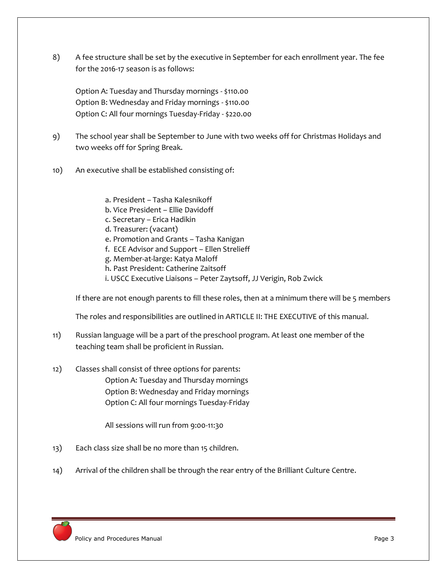8) A fee structure shall be set by the executive in September for each enrollment year. The fee for the 2016-17 season is as follows:

Option A: Tuesday and Thursday mornings - \$110.00 Option B: Wednesday and Friday mornings - \$110.00 Option C: All four mornings Tuesday-Friday - \$220.00

- 9) The school year shall be September to June with two weeks off for Christmas Holidays and two weeks off for Spring Break.
- 10) An executive shall be established consisting of:
	- a. President Tasha Kalesnikoff
	- b. Vice President Ellie Davidoff
	- c. Secretary Erica Hadikin
	- d. Treasurer: (vacant)
	- e. Promotion and Grants Tasha Kanigan
	- f. ECE Advisor and Support Ellen Strelieff
	- g. Member-at-large: Katya Maloff
	- h. Past President: Catherine Zaitsoff
	- i. USCC Executive Liaisons Peter Zaytsoff, JJ Verigin, Rob Zwick

If there are not enough parents to fill these roles, then at a minimum there will be 5 members

The roles and responsibilities are outlined in ARTICLE II: THE EXECUTIVE of this manual.

- 11) Russian language will be a part of the preschool program. At least one member of the teaching team shall be proficient in Russian.
- 12) Classes shall consist of three options for parents: Option A: Tuesday and Thursday mornings Option B: Wednesday and Friday mornings Option C: All four mornings Tuesday-Friday

All sessions will run from 9:00-11:30

- 13) Each class size shall be no more than 15 children.
- 14) Arrival of the children shall be through the rear entry of the Brilliant Culture Centre.

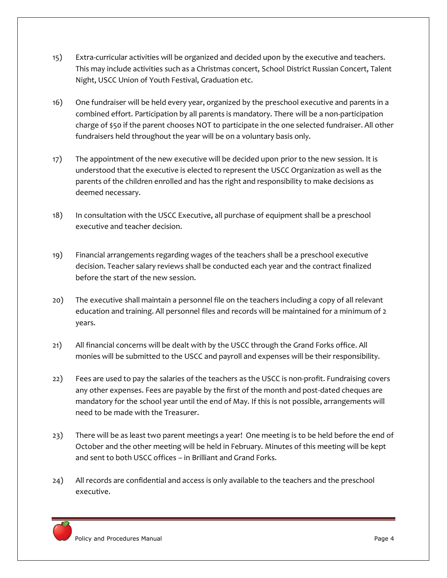- 15) Extra-curricular activities will be organized and decided upon by the executive and teachers. This may include activities such as a Christmas concert, School District Russian Concert, Talent Night, USCC Union of Youth Festival, Graduation etc.
- 16) One fundraiser will be held every year, organized by the preschool executive and parents in a combined effort. Participation by all parents is mandatory. There will be a non-participation charge of \$50 if the parent chooses NOT to participate in the one selected fundraiser. All other fundraisers held throughout the year will be on a voluntary basis only.
- 17) The appointment of the new executive will be decided upon prior to the new session. It is understood that the executive is elected to represent the USCC Organization as well as the parents of the children enrolled and has the right and responsibility to make decisions as deemed necessary.
- 18) In consultation with the USCC Executive, all purchase of equipment shall be a preschool executive and teacher decision.
- 19) Financial arrangements regarding wages of the teachers shall be a preschool executive decision. Teacher salary reviews shall be conducted each year and the contract finalized before the start of the new session.
- 20) The executive shall maintain a personnel file on the teachers including a copy of all relevant education and training. All personnel files and records will be maintained for a minimum of 2 years.
- 21) All financial concerns will be dealt with by the USCC through the Grand Forks office. All monies will be submitted to the USCC and payroll and expenses will be their responsibility.
- 22) Fees are used to pay the salaries of the teachers as the USCC is non-profit. Fundraising covers any other expenses. Fees are payable by the first of the month and post-dated cheques are mandatory for the school year until the end of May. If this is not possible, arrangements will need to be made with the Treasurer.
- 23) There will be as least two parent meetings a year! One meeting is to be held before the end of October and the other meeting will be held in February. Minutes of this meeting will be kept and sent to both USCC offices – in Brilliant and Grand Forks.
- 24) All records are confidential and access is only available to the teachers and the preschool executive.

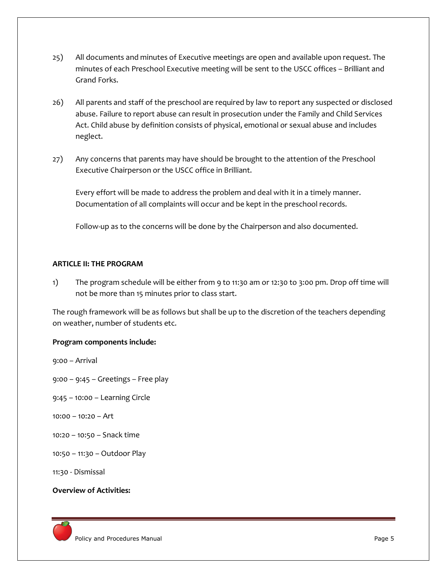- 25) All documents and minutes of Executive meetings are open and available upon request. The minutes of each Preschool Executive meeting will be sent to the USCC offices – Brilliant and Grand Forks.
- 26) All parents and staff of the preschool are required by law to report any suspected or disclosed abuse. Failure to report abuse can result in prosecution under the Family and Child Services Act. Child abuse by definition consists of physical, emotional or sexual abuse and includes neglect.
- 27) Any concerns that parents may have should be brought to the attention of the Preschool Executive Chairperson or the USCC office in Brilliant.

Every effort will be made to address the problem and deal with it in a timely manner. Documentation of all complaints will occur and be kept in the preschool records.

Follow-up as to the concerns will be done by the Chairperson and also documented.

#### **ARTICLE II: THE PROGRAM**

1) The program schedule will be either from 9 to 11:30 am or 12:30 to 3:00 pm. Drop off time will not be more than 15 minutes prior to class start.

The rough framework will be as follows but shall be up to the discretion of the teachers depending on weather, number of students etc.

#### **Program components include:**

9:00 – Arrival

9:00 – 9:45 – Greetings – Free play

- 9:45 10:00 Learning Circle
- 10:00 10:20 Art
- 10:20 10:50 Snack time
- 10:50 11:30 Outdoor Play
- 11:30 Dismissal

## **Overview of Activities:**

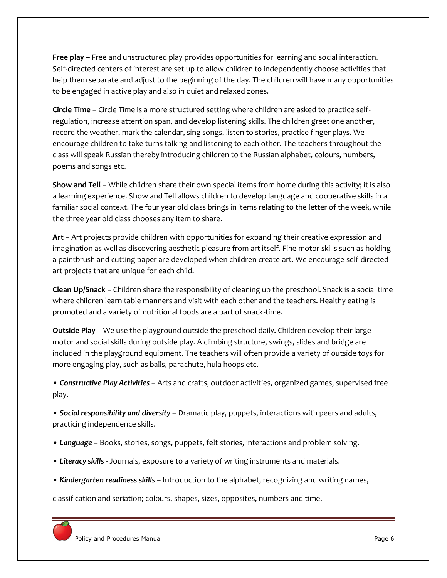**Free play – F**ree and unstructured play provides opportunities for learning and social interaction. Self-directed centers of interest are set up to allow children to independently choose activities that help them separate and adjust to the beginning of the day. The children will have many opportunities to be engaged in active play and also in quiet and relaxed zones.

**Circle Time** – Circle Time is a more structured setting where children are asked to practice selfregulation, increase attention span, and develop listening skills. The children greet one another, record the weather, mark the calendar, sing songs, listen to stories, practice finger plays. We encourage children to take turns talking and listening to each other. The teachers throughout the class will speak Russian thereby introducing children to the Russian alphabet, colours, numbers, poems and songs etc.

**Show and Tell** – While children share their own special items from home during this activity; it is also a learning experience. Show and Tell allows children to develop language and cooperative skills in a familiar social context. The four year old class brings in items relating to the letter of the week, while the three year old class chooses any item to share.

**Art** – Art projects provide children with opportunities for expanding their creative expression and imagination as well as discovering aesthetic pleasure from art itself. Fine motor skills such as holding a paintbrush and cutting paper are developed when children create art. We encourage self-directed art projects that are unique for each child.

**Clean Up/Snack** – Children share the responsibility of cleaning up the preschool. Snack is a social time where children learn table manners and visit with each other and the teachers. Healthy eating is promoted and a variety of nutritional foods are a part of snack-time.

**Outside Play** – We use the playground outside the preschool daily. Children develop their large motor and social skills during outside play. A climbing structure, swings, slides and bridge are included in the playground equipment. The teachers will often provide a variety of outside toys for more engaging play, such as balls, parachute, hula hoops etc.

• *Constructive Play Activities* – Arts and crafts, outdoor activities, organized games, supervised free play.

• *Social responsibility and diversity* – Dramatic play, puppets, interactions with peers and adults, practicing independence skills.

- *Language*  Books, stories, songs, puppets, felt stories, interactions and problem solving.
- *Literacy skills*  Journals, exposure to a variety of writing instruments and materials.
- *Kindergarten readiness skills*  Introduction to the alphabet, recognizing and writing names,

classification and seriation; colours, shapes, sizes, opposites, numbers and time.

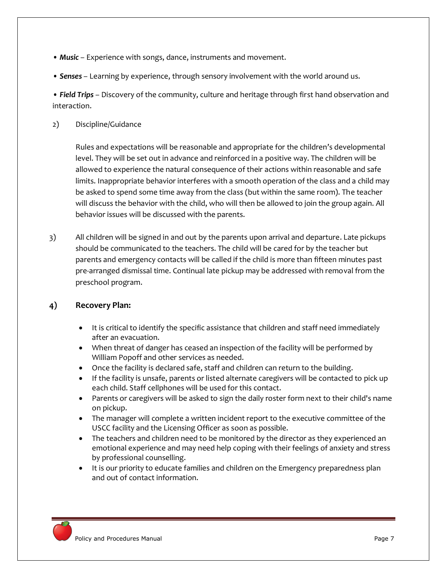- **Music** Experience with songs, dance, instruments and movement.
- *Senses*  Learning by experience, through sensory involvement with the world around us.

• *Field Trips* – Discovery of the community, culture and heritage through first hand observation and interaction.

2) Discipline/Guidance

Rules and expectations will be reasonable and appropriate for the children's developmental level. They will be set out in advance and reinforced in a positive way. The children will be allowed to experience the natural consequence of their actions within reasonable and safe limits. Inappropriate behavior interferes with a smooth operation of the class and a child may be asked to spend some time away from the class (but within the same room). The teacher will discuss the behavior with the child, who will then be allowed to join the group again. All behavior issues will be discussed with the parents.

3) All children will be signed in and out by the parents upon arrival and departure. Late pickups should be communicated to the teachers. The child will be cared for by the teacher but parents and emergency contacts will be called if the child is more than fifteen minutes past pre-arranged dismissal time. Continual late pickup may be addressed with removal from the preschool program.

# **4) Recovery Plan:**

- It is critical to identify the specific assistance that children and staff need immediately after an evacuation.
- When threat of danger has ceased an inspection of the facility will be performed by William Popoff and other services as needed.
- Once the facility is declared safe, staff and children can return to the building.
- If the facility is unsafe, parents or listed alternate caregivers will be contacted to pick up each child. Staff cellphones will be used for this contact.
- Parents or caregivers will be asked to sign the daily roster form next to their child's name on pickup.
- The manager will complete a written incident report to the executive committee of the USCC facility and the Licensing Officer as soon as possible.
- The teachers and children need to be monitored by the director as they experienced an emotional experience and may need help coping with their feelings of anxiety and stress by professional counselling.
- It is our priority to educate families and children on the Emergency preparedness plan and out of contact information.

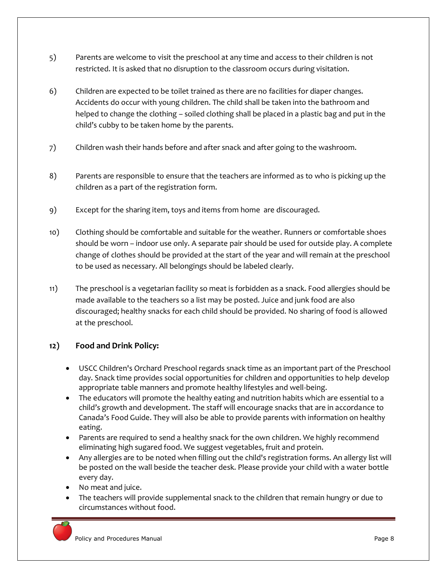- 5) Parents are welcome to visit the preschool at any time and access to their children is not restricted. It is asked that no disruption to the classroom occurs during visitation.
- 6) Children are expected to be toilet trained as there are no facilities for diaper changes. Accidents do occur with young children. The child shall be taken into the bathroom and helped to change the clothing – soiled clothing shall be placed in a plastic bag and put in the child's cubby to be taken home by the parents.
- 7) Children wash their hands before and after snack and after going to the washroom.
- 8) Parents are responsible to ensure that the teachers are informed as to who is picking up the children as a part of the registration form.
- 9) Except for the sharing item, toys and items from home are discouraged.
- 10) Clothing should be comfortable and suitable for the weather. Runners or comfortable shoes should be worn – indoor use only. A separate pair should be used for outside play. A complete change of clothes should be provided at the start of the year and will remain at the preschool to be used as necessary. All belongings should be labeled clearly.
- 11) The preschool is a vegetarian facility so meat is forbidden as a snack. Food allergies should be made available to the teachers so a list may be posted. Juice and junk food are also discouraged; healthy snacks for each child should be provided. No sharing of food is allowed at the preschool.

# **12) Food and Drink Policy:**

- USCC Children's Orchard Preschool regards snack time as an important part of the Preschool day. Snack time provides social opportunities for children and opportunities to help develop appropriate table manners and promote healthy lifestyles and well-being.
- The educators will promote the healthy eating and nutrition habits which are essential to a child's growth and development. The staff will encourage snacks that are in accordance to Canada's Food Guide. They will also be able to provide parents with information on healthy eating.
- Parents are required to send a healthy snack for the own children. We highly recommend eliminating high sugared food. We suggest vegetables, fruit and protein.
- Any allergies are to be noted when filling out the child's registration forms. An allergy list will be posted on the wall beside the teacher desk. Please provide your child with a water bottle every day.
- No meat and juice.
- The teachers will provide supplemental snack to the children that remain hungry or due to circumstances without food.

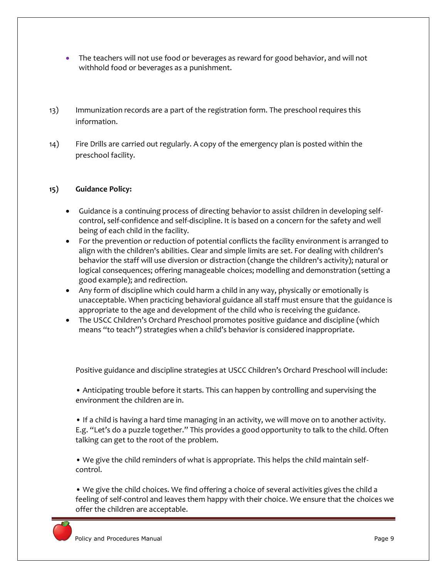- The teachers will not use food or beverages as reward for good behavior, and will not withhold food or beverages as a punishment.
- 13) Immunization records are a part of the registration form. The preschool requires this information.
- 14) Fire Drills are carried out regularly. A copy of the emergency plan is posted within the preschool facility.

## **15) Guidance Policy:**

- Guidance is a continuing process of directing behavior to assist children in developing selfcontrol, self-confidence and self-discipline. It is based on a concern for the safety and well being of each child in the facility.
- For the prevention or reduction of potential conflicts the facility environment is arranged to align with the children's abilities. Clear and simple limits are set. For dealing with children's behavior the staff will use diversion or distraction (change the children's activity); natural or logical consequences; offering manageable choices; modelling and demonstration (setting a good example); and redirection.
- Any form of discipline which could harm a child in any way, physically or emotionally is unacceptable. When practicing behavioral guidance all staff must ensure that the guidance is appropriate to the age and development of the child who is receiving the guidance.
- The USCC Children's Orchard Preschool promotes positive guidance and discipline (which means "to teach") strategies when a child's behavior is considered inappropriate.

Positive guidance and discipline strategies at USCC Children's Orchard Preschool will include:

• Anticipating trouble before it starts. This can happen by controlling and supervising the environment the children are in.

• If a child is having a hard time managing in an activity, we will move on to another activity. E.g. "Let's do a puzzle together." This provides a good opportunity to talk to the child. Often talking can get to the root of the problem.

• We give the child reminders of what is appropriate. This helps the child maintain selfcontrol.

• We give the child choices. We find offering a choice of several activities gives the child a feeling of self-control and leaves them happy with their choice. We ensure that the choices we offer the children are acceptable.

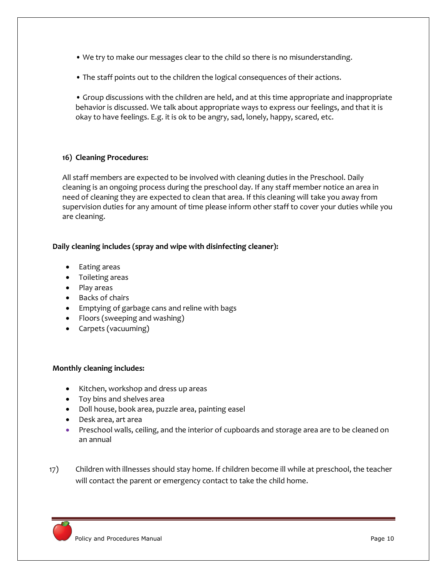- We try to make our messages clear to the child so there is no misunderstanding.
- The staff points out to the children the logical consequences of their actions.

• Group discussions with the children are held, and at this time appropriate and inappropriate behavior is discussed. We talk about appropriate ways to express our feelings, and that it is okay to have feelings. E.g. it is ok to be angry, sad, lonely, happy, scared, etc.

## **16) Cleaning Procedures:**

All staff members are expected to be involved with cleaning duties in the Preschool. Daily cleaning is an ongoing process during the preschool day. If any staff member notice an area in need of cleaning they are expected to clean that area. If this cleaning will take you away from supervision duties for any amount of time please inform other staff to cover your duties while you are cleaning.

## **Daily cleaning includes (spray and wipe with disinfecting cleaner):**

- Eating areas
- Toileting areas
- Play areas
- Backs of chairs
- Emptying of garbage cans and reline with bags
- Floors (sweeping and washing)
- Carpets (vacuuming)

## **Monthly cleaning includes:**

- Kitchen, workshop and dress up areas
- Toy bins and shelves area
- Doll house, book area, puzzle area, painting easel
- Desk area, art area
- Preschool walls, ceiling, and the interior of cupboards and storage area are to be cleaned on an annual
- 17) Children with illnesses should stay home. If children become ill while at preschool, the teacher will contact the parent or emergency contact to take the child home.

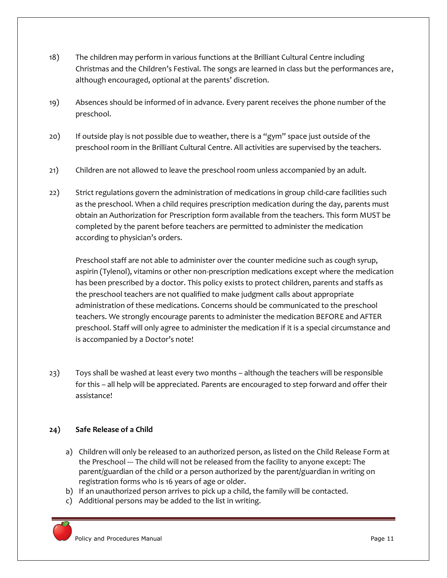- 18) The children may perform in various functions at the Brilliant Cultural Centre including Christmas and the Children's Festival. The songs are learned in class but the performances are, although encouraged, optional at the parents' discretion.
- 19) Absences should be informed of in advance. Every parent receives the phone number of the preschool.
- 20) If outside play is not possible due to weather, there is a "gym" space just outside of the preschool room in the Brilliant Cultural Centre. All activities are supervised by the teachers.
- 21) Children are not allowed to leave the preschool room unless accompanied by an adult.
- 22) Strict regulations govern the administration of medications in group child-care facilities such as the preschool. When a child requires prescription medication during the day, parents must obtain an Authorization for Prescription form available from the teachers. This form MUST be completed by the parent before teachers are permitted to administer the medication according to physician's orders.

Preschool staff are not able to administer over the counter medicine such as cough syrup, aspirin (Tylenol), vitamins or other non-prescription medications except where the medication has been prescribed by a doctor. This policy exists to protect children, parents and staffs as the preschool teachers are not qualified to make judgment calls about appropriate administration of these medications. Concerns should be communicated to the preschool teachers. We strongly encourage parents to administer the medication BEFORE and AFTER preschool. Staff will only agree to administer the medication if it is a special circumstance and is accompanied by a Doctor's note!

23) Toys shall be washed at least every two months – although the teachers will be responsible for this – all help will be appreciated. Parents are encouraged to step forward and offer their assistance!

# **24) Safe Release of a Child**

- a) Children will only be released to an authorized person, as listed on the Child Release Form at the Preschool --- The child will not be released from the facility to anyone except: The parent/guardian of the child or a person authorized by the parent/guardian in writing on registration forms who is 16 years of age or older.
- b) If an unauthorized person arrives to pick up a child, the family will be contacted.
- c) Additional persons may be added to the list in writing.

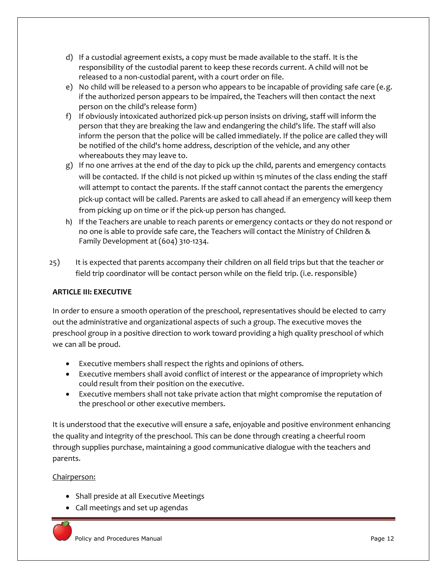- d) If a custodial agreement exists, a copy must be made available to the staff. It is the responsibility of the custodial parent to keep these records current. A child will not be released to a non-custodial parent, with a court order on file.
- e) No child will be released to a person who appears to be incapable of providing safe care (e.g. if the authorized person appears to be impaired, the Teachers will then contact the next person on the child's release form)
- f) If obviously intoxicated authorized pick-up person insists on driving, staff will inform the person that they are breaking the law and endangering the child's life. The staff will also inform the person that the police will be called immediately. If the police are called they will be notified of the child's home address, description of the vehicle, and any other whereabouts they may leave to.
- g) If no one arrives at the end of the day to pick up the child, parents and emergency contacts will be contacted. If the child is not picked up within 15 minutes of the class ending the staff will attempt to contact the parents. If the staff cannot contact the parents the emergency pick-up contact will be called. Parents are asked to call ahead if an emergency will keep them from picking up on time or if the pick-up person has changed.
- h) If the Teachers are unable to reach parents or emergency contacts or they do not respond or no one is able to provide safe care, the Teachers will contact the Ministry of Children & Family Development at (604) 310-1234.
- 25) It is expected that parents accompany their children on all field trips but that the teacher or field trip coordinator will be contact person while on the field trip. (i.e. responsible)

# **ARTICLE III: EXECUTIVE**

In order to ensure a smooth operation of the preschool, representatives should be elected to carry out the administrative and organizational aspects of such a group. The executive moves the preschool group in a positive direction to work toward providing a high quality preschool of which we can all be proud.

- Executive members shall respect the rights and opinions of others.
- Executive members shall avoid conflict of interest or the appearance of impropriety which could result from their position on the executive.
- Executive members shall not take private action that might compromise the reputation of the preschool or other executive members.

It is understood that the executive will ensure a safe, enjoyable and positive environment enhancing the quality and integrity of the preschool. This can be done through creating a cheerful room through supplies purchase, maintaining a good communicative dialogue with the teachers and parents.

# Chairperson:

- Shall preside at all Executive Meetings
- Call meetings and set up agendas

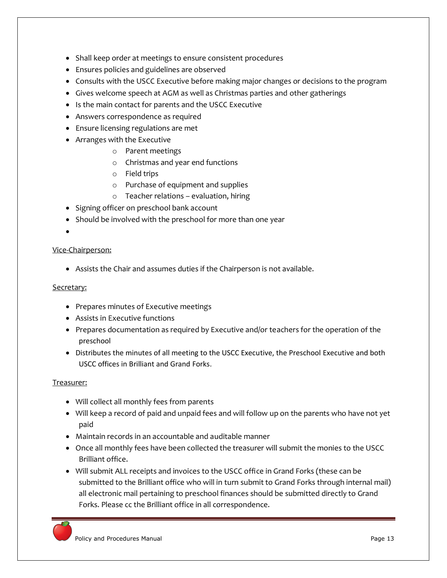- Shall keep order at meetings to ensure consistent procedures
- Ensures policies and guidelines are observed
- Consults with the USCC Executive before making major changes or decisions to the program
- Gives welcome speech at AGM as well as Christmas parties and other gatherings
- Is the main contact for parents and the USCC Executive
- Answers correspondence as required
- Ensure licensing regulations are met
- Arranges with the Executive
	- o Parent meetings
	- o Christmas and year end functions
	- o Field trips
	- o Purchase of equipment and supplies
	- o Teacher relations evaluation, hiring
- Signing officer on preschool bank account
- Should be involved with the preschool for more than one year
- $\bullet$

#### Vice-Chairperson:

Assists the Chair and assumes duties if the Chairperson is not available.

#### Secretary:

- Prepares minutes of Executive meetings
- Assists in Executive functions
- Prepares documentation as required by Executive and/or teachers for the operation of the preschool
- Distributes the minutes of all meeting to the USCC Executive, the Preschool Executive and both USCC offices in Brilliant and Grand Forks.

## Treasurer:

- Will collect all monthly fees from parents
- Will keep a record of paid and unpaid fees and will follow up on the parents who have not yet paid
- Maintain records in an accountable and auditable manner
- Once all monthly fees have been collected the treasurer will submit the monies to the USCC Brilliant office.
- Will submit ALL receipts and invoices to the USCC office in Grand Forks (these can be submitted to the Brilliant office who will in turn submit to Grand Forks through internal mail) all electronic mail pertaining to preschool finances should be submitted directly to Grand Forks. Please cc the Brilliant office in all correspondence.

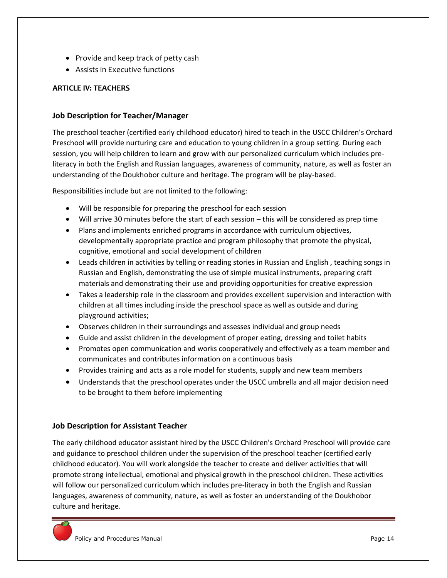- Provide and keep track of petty cash
- Assists in Executive functions

## **ARTICLE IV: TEACHERS**

## **Job Description for Teacher/Manager**

The preschool teacher (certified early childhood educator) hired to teach in the USCC Children's Orchard Preschool will provide nurturing care and education to young children in a group setting. During each session, you will help children to learn and grow with our personalized curriculum which includes preliteracy in both the English and Russian languages, awareness of community, nature, as well as foster an understanding of the Doukhobor culture and heritage. The program will be play-based.

Responsibilities include but are not limited to the following:

- Will be responsible for preparing the preschool for each session
- Will arrive 30 minutes before the start of each session this will be considered as prep time
- Plans and implements enriched programs in accordance with curriculum objectives, developmentally appropriate practice and program philosophy that promote the physical, cognitive, emotional and social development of children
- Leads children in activities by telling or reading stories in Russian and English , teaching songs in Russian and English, demonstrating the use of simple musical instruments, preparing craft materials and demonstrating their use and providing opportunities for creative expression
- Takes a leadership role in the classroom and provides excellent supervision and interaction with children at all times including inside the preschool space as well as outside and during playground activities;
- Observes children in their surroundings and assesses individual and group needs
- Guide and assist children in the development of proper eating, dressing and toilet habits
- Promotes open communication and works cooperatively and effectively as a team member and communicates and contributes information on a continuous basis
- Provides training and acts as a role model for students, supply and new team members
- Understands that the preschool operates under the USCC umbrella and all major decision need to be brought to them before implementing

## **Job Description for Assistant Teacher**

The early childhood educator assistant hired by the USCC Children's Orchard Preschool will provide care and guidance to preschool children under the supervision of the preschool teacher (certified early childhood educator). You will work alongside the teacher to create and deliver activities that will promote strong intellectual, emotional and physical growth in the preschool children. These activities will follow our personalized curriculum which includes pre-literacy in both the English and Russian languages, awareness of community, nature, as well as foster an understanding of the Doukhobor culture and heritage.

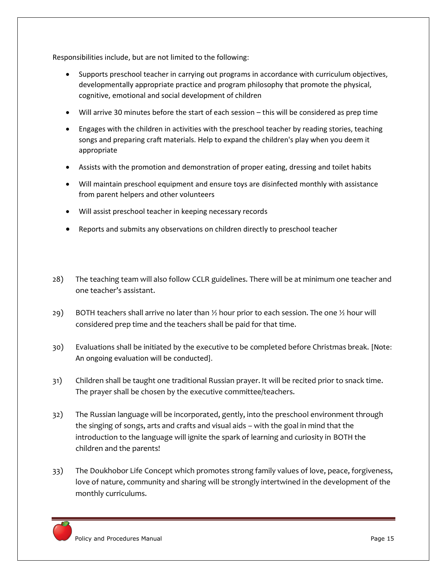Responsibilities include, but are not limited to the following:

- Supports preschool teacher in carrying out programs in accordance with curriculum objectives, developmentally appropriate practice and program philosophy that promote the physical, cognitive, emotional and social development of children
- Will arrive 30 minutes before the start of each session this will be considered as prep time
- Engages with the children in activities with the preschool teacher by reading stories, teaching songs and preparing craft materials. Help to expand the children's play when you deem it appropriate
- Assists with the promotion and demonstration of proper eating, dressing and toilet habits
- Will maintain preschool equipment and ensure toys are disinfected monthly with assistance from parent helpers and other volunteers
- Will assist preschool teacher in keeping necessary records
- Reports and submits any observations on children directly to preschool teacher
- 28) The teaching team will also follow CCLR guidelines. There will be at minimum one teacher and one teacher's assistant.
- 29) BOTH teachers shall arrive no later than  $\frac{1}{2}$  hour prior to each session. The one  $\frac{1}{2}$  hour will considered prep time and the teachers shall be paid for that time.
- 30) Evaluations shall be initiated by the executive to be completed before Christmas break. [Note: An ongoing evaluation will be conducted].
- 31) Children shall be taught one traditional Russian prayer. It will be recited prior to snack time. The prayer shall be chosen by the executive committee/teachers.
- 32) The Russian language will be incorporated, gently, into the preschool environment through the singing of songs, arts and crafts and visual aids – with the goal in mind that the introduction to the language will ignite the spark of learning and curiosity in BOTH the children and the parents!
- 33) The Doukhobor Life Concept which promotes strong family values of love, peace, forgiveness, love of nature, community and sharing will be strongly intertwined in the development of the monthly curriculums.